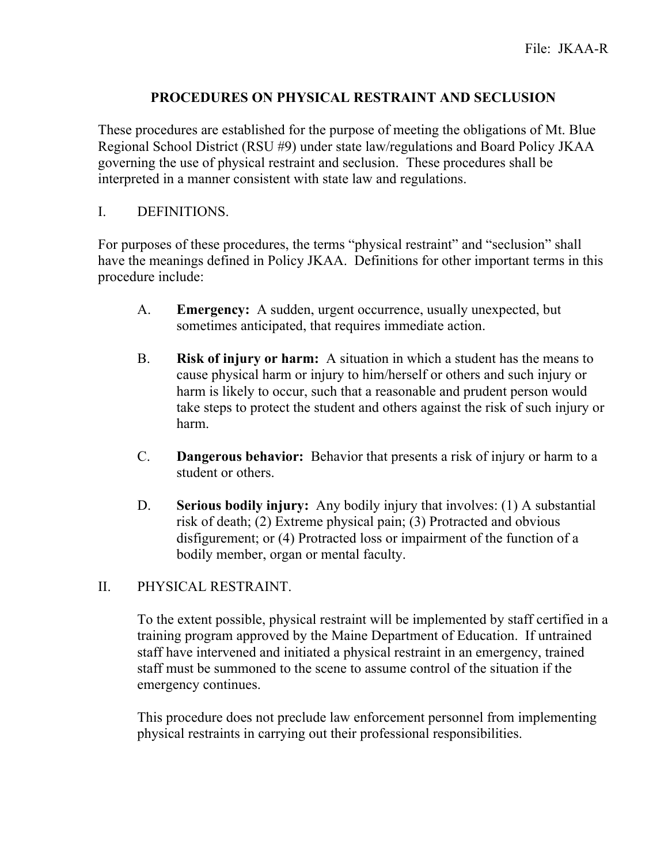# **PROCEDURES ON PHYSICAL RESTRAINT AND SECLUSION**

These procedures are established for the purpose of meeting the obligations of Mt. Blue Regional School District (RSU #9) under state law/regulations and Board Policy JKAA governing the use of physical restraint and seclusion. These procedures shall be interpreted in a manner consistent with state law and regulations.

# I. DEFINITIONS.

For purposes of these procedures, the terms "physical restraint" and "seclusion" shall have the meanings defined in Policy JKAA. Definitions for other important terms in this procedure include:

- A. **Emergency:** A sudden, urgent occurrence, usually unexpected, but sometimes anticipated, that requires immediate action.
- B. **Risk of injury or harm:** A situation in which a student has the means to cause physical harm or injury to him/herself or others and such injury or harm is likely to occur, such that a reasonable and prudent person would take steps to protect the student and others against the risk of such injury or harm.
- C. **Dangerous behavior:** Behavior that presents a risk of injury or harm to a student or others.
- D. **Serious bodily injury:** Any bodily injury that involves: (1) A substantial risk of death; (2) Extreme physical pain; (3) Protracted and obvious disfigurement; or (4) Protracted loss or impairment of the function of a bodily member, organ or mental faculty.

# II. PHYSICAL RESTRAINT.

To the extent possible, physical restraint will be implemented by staff certified in a training program approved by the Maine Department of Education. If untrained staff have intervened and initiated a physical restraint in an emergency, trained staff must be summoned to the scene to assume control of the situation if the emergency continues.

This procedure does not preclude law enforcement personnel from implementing physical restraints in carrying out their professional responsibilities.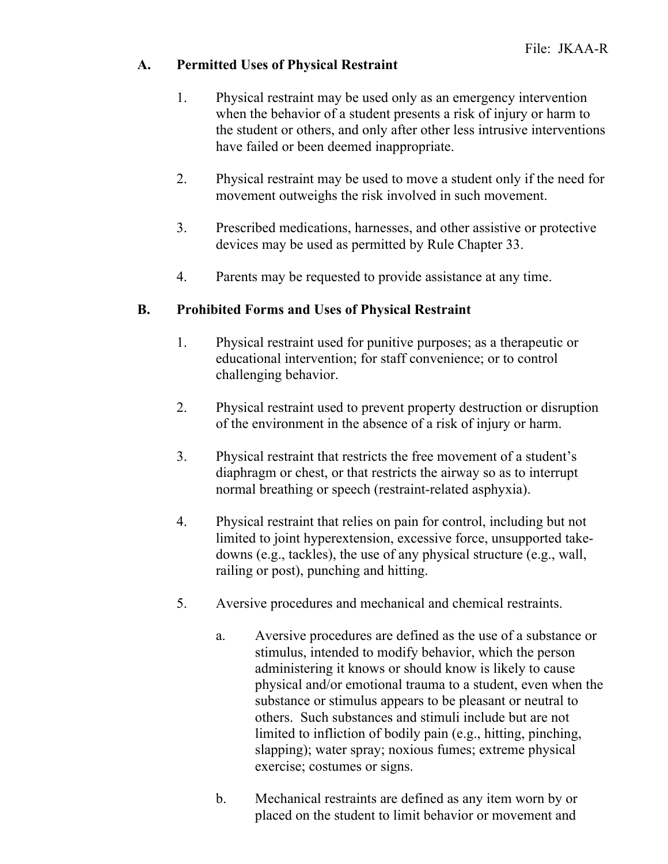### **A. Permitted Uses of Physical Restraint**

- 1. Physical restraint may be used only as an emergency intervention when the behavior of a student presents a risk of injury or harm to the student or others, and only after other less intrusive interventions have failed or been deemed inappropriate.
- 2. Physical restraint may be used to move a student only if the need for movement outweighs the risk involved in such movement.
- 3. Prescribed medications, harnesses, and other assistive or protective devices may be used as permitted by Rule Chapter 33.
- 4. Parents may be requested to provide assistance at any time.

### **B. Prohibited Forms and Uses of Physical Restraint**

- 1. Physical restraint used for punitive purposes; as a therapeutic or educational intervention; for staff convenience; or to control challenging behavior.
- 2. Physical restraint used to prevent property destruction or disruption of the environment in the absence of a risk of injury or harm.
- 3. Physical restraint that restricts the free movement of a student's diaphragm or chest, or that restricts the airway so as to interrupt normal breathing or speech (restraint-related asphyxia).
- 4. Physical restraint that relies on pain for control, including but not limited to joint hyperextension, excessive force, unsupported takedowns (e.g., tackles), the use of any physical structure (e.g., wall, railing or post), punching and hitting.
- 5. Aversive procedures and mechanical and chemical restraints.
	- a. Aversive procedures are defined as the use of a substance or stimulus, intended to modify behavior, which the person administering it knows or should know is likely to cause physical and/or emotional trauma to a student, even when the substance or stimulus appears to be pleasant or neutral to others. Such substances and stimuli include but are not limited to infliction of bodily pain (e.g., hitting, pinching, slapping); water spray; noxious fumes; extreme physical exercise; costumes or signs.
	- b. Mechanical restraints are defined as any item worn by or placed on the student to limit behavior or movement and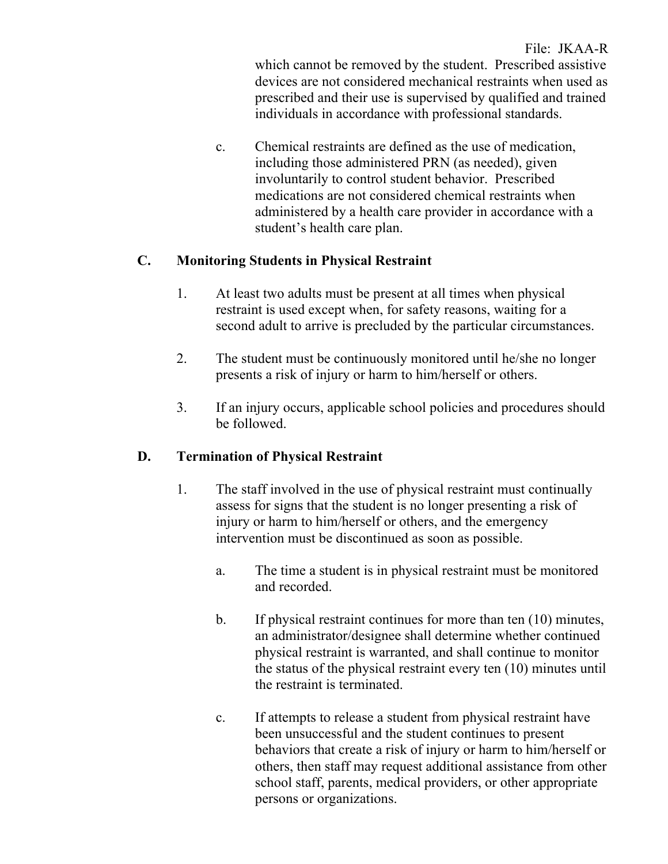File: JKAA-R which cannot be removed by the student. Prescribed assistive devices are not considered mechanical restraints when used as prescribed and their use is supervised by qualified and trained individuals in accordance with professional standards.

c. Chemical restraints are defined as the use of medication, including those administered PRN (as needed), given involuntarily to control student behavior. Prescribed medications are not considered chemical restraints when administered by a health care provider in accordance with a student's health care plan.

# **C. Monitoring Students in Physical Restraint**

- 1. At least two adults must be present at all times when physical restraint is used except when, for safety reasons, waiting for a second adult to arrive is precluded by the particular circumstances.
- 2. The student must be continuously monitored until he/she no longer presents a risk of injury or harm to him/herself or others.
- 3. If an injury occurs, applicable school policies and procedures should be followed.

# **D. Termination of Physical Restraint**

- 1. The staff involved in the use of physical restraint must continually assess for signs that the student is no longer presenting a risk of injury or harm to him/herself or others, and the emergency intervention must be discontinued as soon as possible.
	- a. The time a student is in physical restraint must be monitored and recorded.
	- b. If physical restraint continues for more than ten (10) minutes, an administrator/designee shall determine whether continued physical restraint is warranted, and shall continue to monitor the status of the physical restraint every ten (10) minutes until the restraint is terminated.
	- c. If attempts to release a student from physical restraint have been unsuccessful and the student continues to present behaviors that create a risk of injury or harm to him/herself or others, then staff may request additional assistance from other school staff, parents, medical providers, or other appropriate persons or organizations.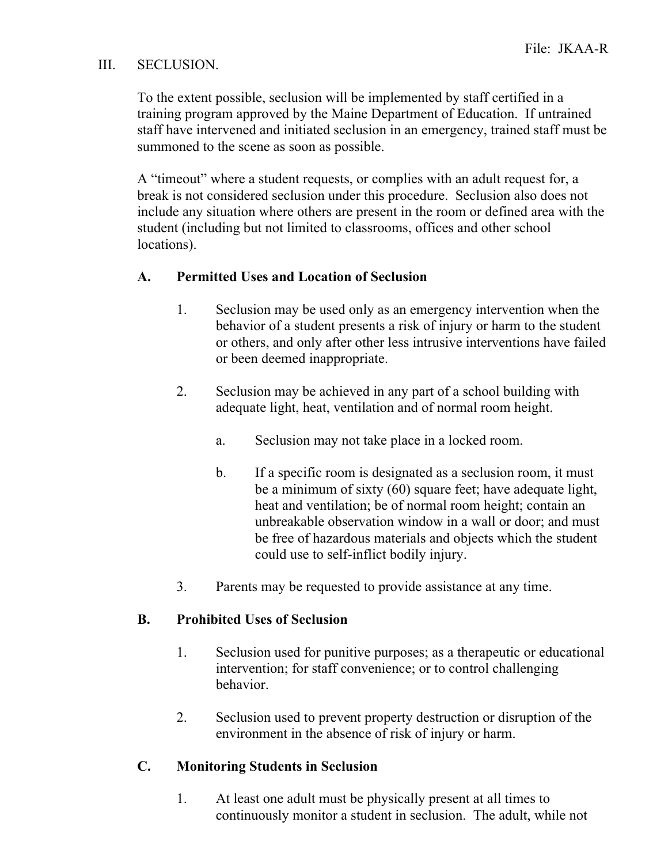### III. SECLUSION.

To the extent possible, seclusion will be implemented by staff certified in a training program approved by the Maine Department of Education. If untrained staff have intervened and initiated seclusion in an emergency, trained staff must be summoned to the scene as soon as possible.

A "timeout" where a student requests, or complies with an adult request for, a break is not considered seclusion under this procedure. Seclusion also does not include any situation where others are present in the room or defined area with the student (including but not limited to classrooms, offices and other school locations).

### **A. Permitted Uses and Location of Seclusion**

- 1. Seclusion may be used only as an emergency intervention when the behavior of a student presents a risk of injury or harm to the student or others, and only after other less intrusive interventions have failed or been deemed inappropriate.
- 2. Seclusion may be achieved in any part of a school building with adequate light, heat, ventilation and of normal room height.
	- a. Seclusion may not take place in a locked room.
	- b. If a specific room is designated as a seclusion room, it must be a minimum of sixty (60) square feet; have adequate light, heat and ventilation; be of normal room height; contain an unbreakable observation window in a wall or door; and must be free of hazardous materials and objects which the student could use to self-inflict bodily injury.
- 3. Parents may be requested to provide assistance at any time.

### **B. Prohibited Uses of Seclusion**

- 1. Seclusion used for punitive purposes; as a therapeutic or educational intervention; for staff convenience; or to control challenging behavior.
- 2. Seclusion used to prevent property destruction or disruption of the environment in the absence of risk of injury or harm.

### **C. Monitoring Students in Seclusion**

1. At least one adult must be physically present at all times to continuously monitor a student in seclusion. The adult, while not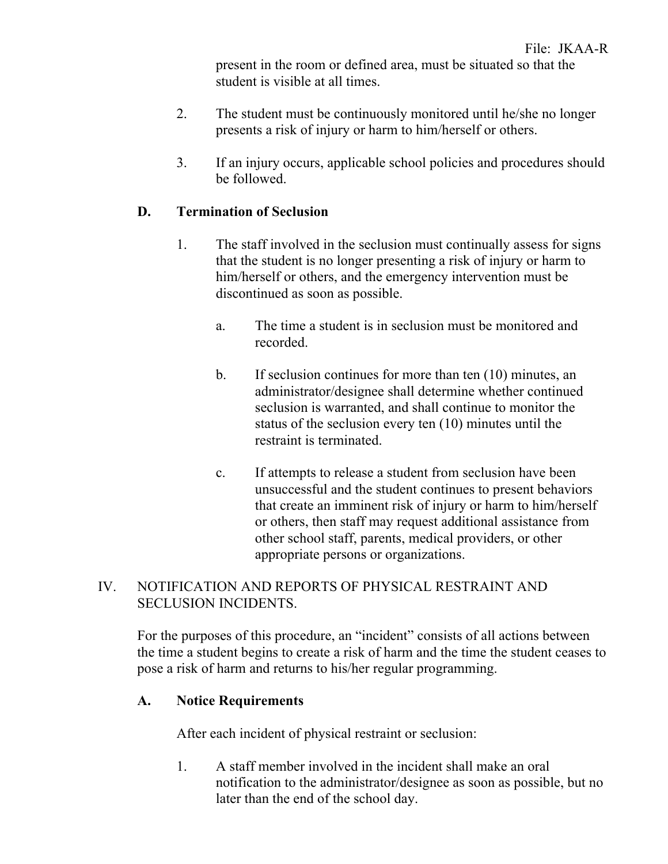present in the room or defined area, must be situated so that the student is visible at all times.

- 2. The student must be continuously monitored until he/she no longer presents a risk of injury or harm to him/herself or others.
- 3. If an injury occurs, applicable school policies and procedures should be followed.

### **D. Termination of Seclusion**

- 1. The staff involved in the seclusion must continually assess for signs that the student is no longer presenting a risk of injury or harm to him/herself or others, and the emergency intervention must be discontinued as soon as possible.
	- a. The time a student is in seclusion must be monitored and recorded.
	- b. If seclusion continues for more than ten (10) minutes, an administrator/designee shall determine whether continued seclusion is warranted, and shall continue to monitor the status of the seclusion every ten (10) minutes until the restraint is terminated.
	- c. If attempts to release a student from seclusion have been unsuccessful and the student continues to present behaviors that create an imminent risk of injury or harm to him/herself or others, then staff may request additional assistance from other school staff, parents, medical providers, or other appropriate persons or organizations.

### IV. NOTIFICATION AND REPORTS OF PHYSICAL RESTRAINT AND SECLUSION INCIDENTS.

For the purposes of this procedure, an "incident" consists of all actions between the time a student begins to create a risk of harm and the time the student ceases to pose a risk of harm and returns to his/her regular programming.

# **A. Notice Requirements**

After each incident of physical restraint or seclusion:

1. A staff member involved in the incident shall make an oral notification to the administrator/designee as soon as possible, but no later than the end of the school day.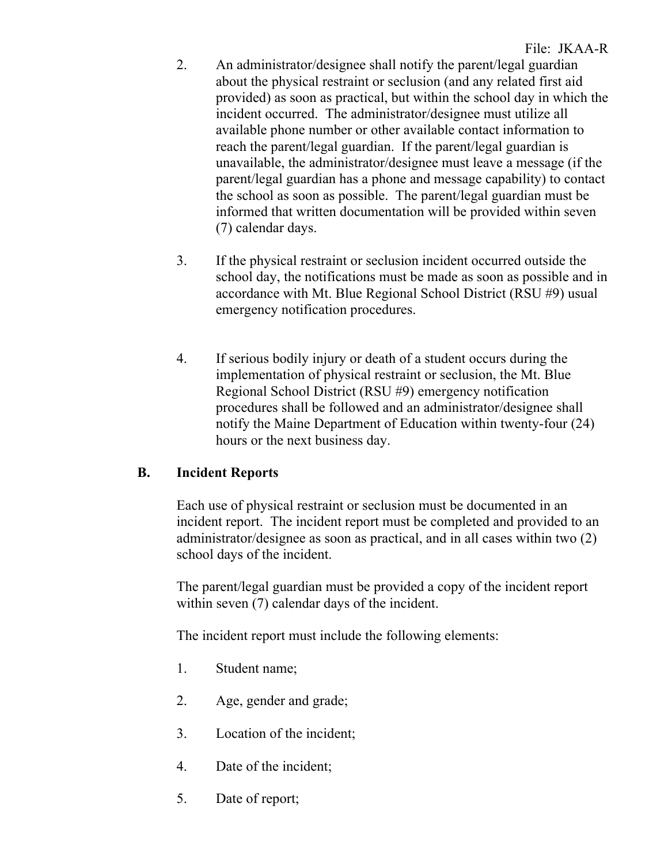- 2. An administrator/designee shall notify the parent/legal guardian about the physical restraint or seclusion (and any related first aid provided) as soon as practical, but within the school day in which the incident occurred. The administrator/designee must utilize all available phone number or other available contact information to reach the parent/legal guardian. If the parent/legal guardian is unavailable, the administrator/designee must leave a message (if the parent/legal guardian has a phone and message capability) to contact the school as soon as possible. The parent/legal guardian must be informed that written documentation will be provided within seven (7) calendar days.
- 3. If the physical restraint or seclusion incident occurred outside the school day, the notifications must be made as soon as possible and in accordance with Mt. Blue Regional School District (RSU #9) usual emergency notification procedures.
- 4. If serious bodily injury or death of a student occurs during the implementation of physical restraint or seclusion, the Mt. Blue Regional School District (RSU #9) emergency notification procedures shall be followed and an administrator/designee shall notify the Maine Department of Education within twenty-four (24) hours or the next business day.

### **B. Incident Reports**

Each use of physical restraint or seclusion must be documented in an incident report. The incident report must be completed and provided to an administrator/designee as soon as practical, and in all cases within two (2) school days of the incident.

The parent/legal guardian must be provided a copy of the incident report within seven (7) calendar days of the incident.

The incident report must include the following elements:

- 1. Student name;
- 2. Age, gender and grade;
- 3. Location of the incident;
- 4. Date of the incident;
- 5. Date of report;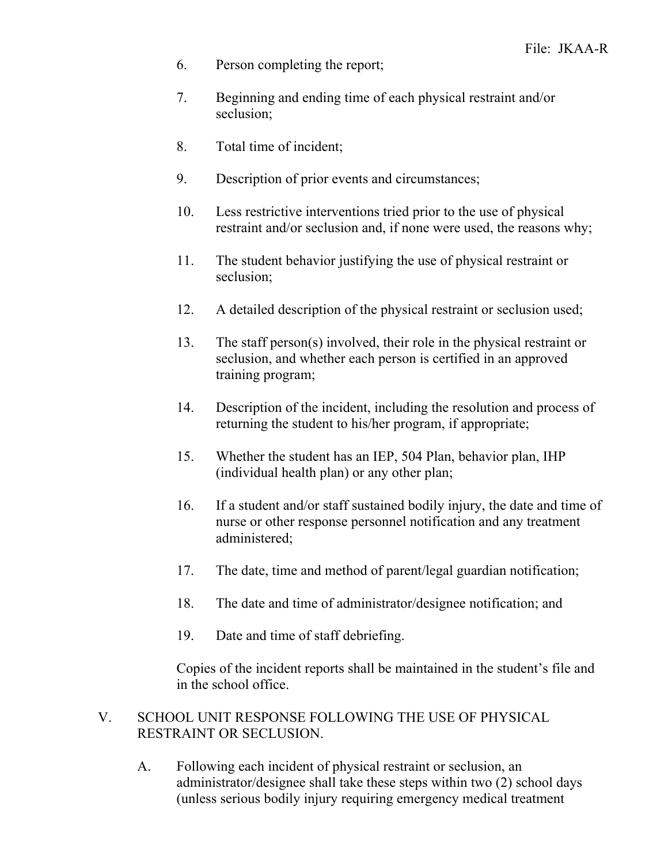- 6. Person completing the report;
- 7. Beginning and ending time of each physical restraint and/or seclusion;
- 8. Total time of incident;
- 9. Description of prior events and circumstances;
- 10. Less restrictive interventions tried prior to the use of physical restraint and/or seclusion and, if none were used, the reasons why;
- 11. The student behavior justifying the use of physical restraint or seclusion;
- 12. A detailed description of the physical restraint or seclusion used;
- 13. The staff person(s) involved, their role in the physical restraint or seclusion, and whether each person is certified in an approved training program;
- 14. Description of the incident, including the resolution and process of returning the student to his/her program, if appropriate;
- 15. Whether the student has an IEP, 504 Plan, behavior plan, IHP (individual health plan) or any other plan;
- 16. If a student and/or staff sustained bodily injury, the date and time of nurse or other response personnel notification and any treatment administered;
- 17. The date, time and method of parent/legal guardian notification;
- 18. The date and time of administrator/designee notification; and
- 19. Date and time of staff debriefing.

Copies of the incident reports shall be maintained in the student's file and in the school office.

#### V. SCHOOL UNIT RESPONSE FOLLOWING THE USE OF PHYSICAL RESTRAINT OR SECLUSION.

A. Following each incident of physical restraint or seclusion, an administrator/designee shall take these steps within two (2) school days (unless serious bodily injury requiring emergency medical treatment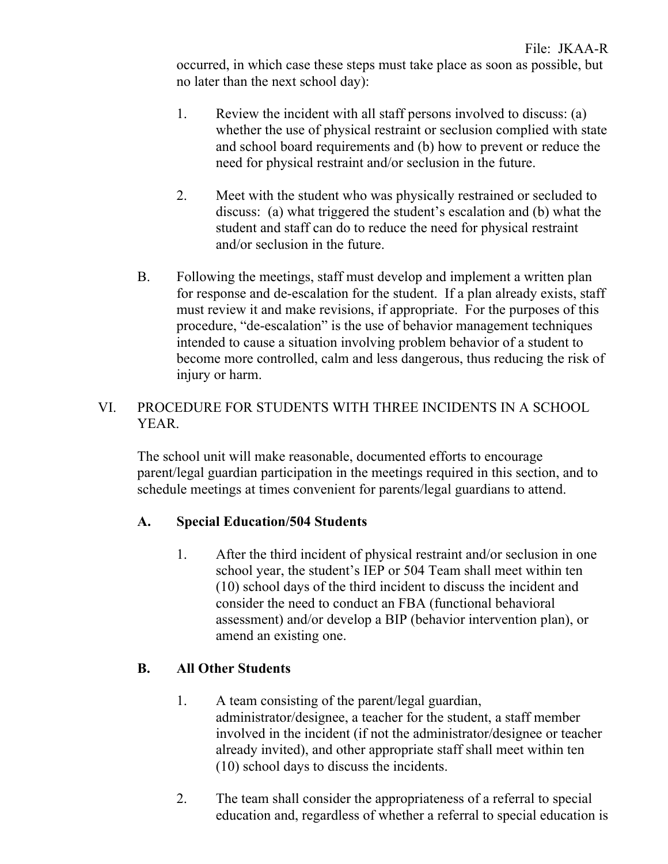- 1. Review the incident with all staff persons involved to discuss: (a) whether the use of physical restraint or seclusion complied with state and school board requirements and (b) how to prevent or reduce the need for physical restraint and/or seclusion in the future.
- 2. Meet with the student who was physically restrained or secluded to discuss: (a) what triggered the student's escalation and (b) what the student and staff can do to reduce the need for physical restraint and/or seclusion in the future.
- B. Following the meetings, staff must develop and implement a written plan for response and de-escalation for the student. If a plan already exists, staff must review it and make revisions, if appropriate. For the purposes of this procedure, "de-escalation" is the use of behavior management techniques intended to cause a situation involving problem behavior of a student to become more controlled, calm and less dangerous, thus reducing the risk of injury or harm.

### VI. PROCEDURE FOR STUDENTS WITH THREE INCIDENTS IN A SCHOOL YEAR.

The school unit will make reasonable, documented efforts to encourage parent/legal guardian participation in the meetings required in this section, and to schedule meetings at times convenient for parents/legal guardians to attend.

# **A. Special Education/504 Students**

1. After the third incident of physical restraint and/or seclusion in one school year, the student's IEP or 504 Team shall meet within ten (10) school days of the third incident to discuss the incident and consider the need to conduct an FBA (functional behavioral assessment) and/or develop a BIP (behavior intervention plan), or amend an existing one.

# **B. All Other Students**

- 1. A team consisting of the parent/legal guardian, administrator/designee, a teacher for the student, a staff member involved in the incident (if not the administrator/designee or teacher already invited), and other appropriate staff shall meet within ten (10) school days to discuss the incidents.
- 2. The team shall consider the appropriateness of a referral to special education and, regardless of whether a referral to special education is